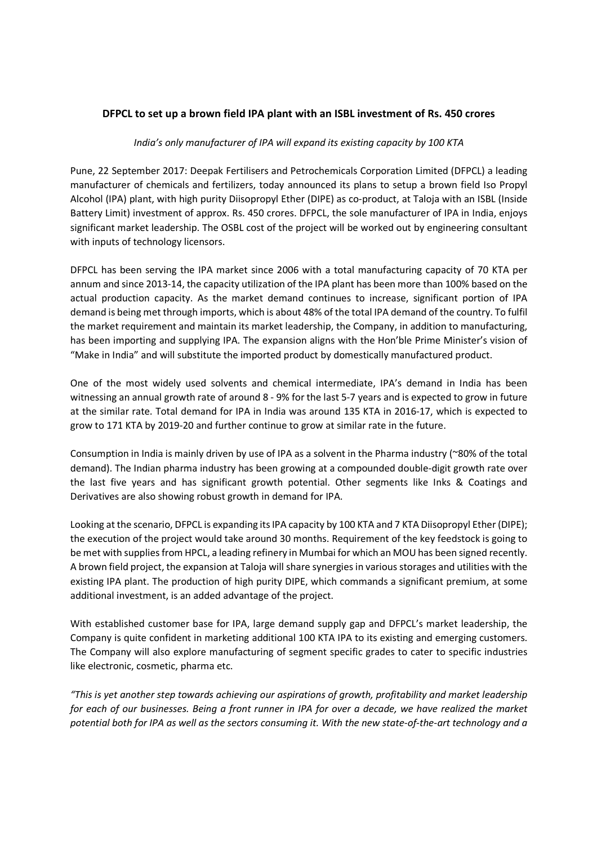## DFPCL to set up a brown field IPA plant with an ISBL investment of Rs. 450 crores

## India's only manufacturer of IPA will expand its existing capacity by 100 KTA

Pune, 22 September 2017: Deepak Fertilisers and Petrochemicals Corporation Limited (DFPCL) a leading manufacturer of chemicals and fertilizers, today announced its plans to setup a brown field Iso Propyl Alcohol (IPA) plant, with high purity Diisopropyl Ether (DIPE) as co-product, at Taloja with an ISBL (Inside Battery Limit) investment of approx. Rs. 450 crores. DFPCL, the sole manufacturer of IPA in India, enjoys significant market leadership. The OSBL cost of the project will be worked out by engineering consultant with inputs of technology licensors.

DFPCL has been serving the IPA market since 2006 with a total manufacturing capacity of 70 KTA per annum and since 2013-14, the capacity utilization of the IPA plant has been more than 100% based on the actual production capacity. As the market demand continues to increase, significant portion of IPA demand is being met through imports, which is about 48% of the total IPA demand of the country. To fulfil the market requirement and maintain its market leadership, the Company, in addition to manufacturing, has been importing and supplying IPA. The expansion aligns with the Hon'ble Prime Minister's vision of "Make in India" and will substitute the imported product by domestically manufactured product.

One of the most widely used solvents and chemical intermediate, IPA's demand in India has been witnessing an annual growth rate of around 8 - 9% for the last 5-7 years and is expected to grow in future at the similar rate. Total demand for IPA in India was around 135 KTA in 2016-17, which is expected to grow to 171 KTA by 2019-20 and further continue to grow at similar rate in the future.

Consumption in India is mainly driven by use of IPA as a solvent in the Pharma industry (~80% of the total demand). The Indian pharma industry has been growing at a compounded double-digit growth rate over the last five years and has significant growth potential. Other segments like Inks & Coatings and Derivatives are also showing robust growth in demand for IPA.

Looking at the scenario, DFPCL is expanding its IPA capacity by 100 KTA and 7 KTA Diisopropyl Ether (DIPE); the execution of the project would take around 30 months. Requirement of the key feedstock is going to be met with supplies from HPCL, a leading refinery in Mumbai for which an MOU has been signed recently. A brown field project, the expansion at Taloja will share synergies in various storages and utilities with the existing IPA plant. The production of high purity DIPE, which commands a significant premium, at some additional investment, is an added advantage of the project.

With established customer base for IPA, large demand supply gap and DFPCL's market leadership, the Company is quite confident in marketing additional 100 KTA IPA to its existing and emerging customers. The Company will also explore manufacturing of segment specific grades to cater to specific industries like electronic, cosmetic, pharma etc.

"This is yet another step towards achieving our aspirations of growth, profitability and market leadership for each of our businesses. Being a front runner in IPA for over a decade, we have realized the market potential both for IPA as well as the sectors consuming it. With the new state-of-the-art technology and a